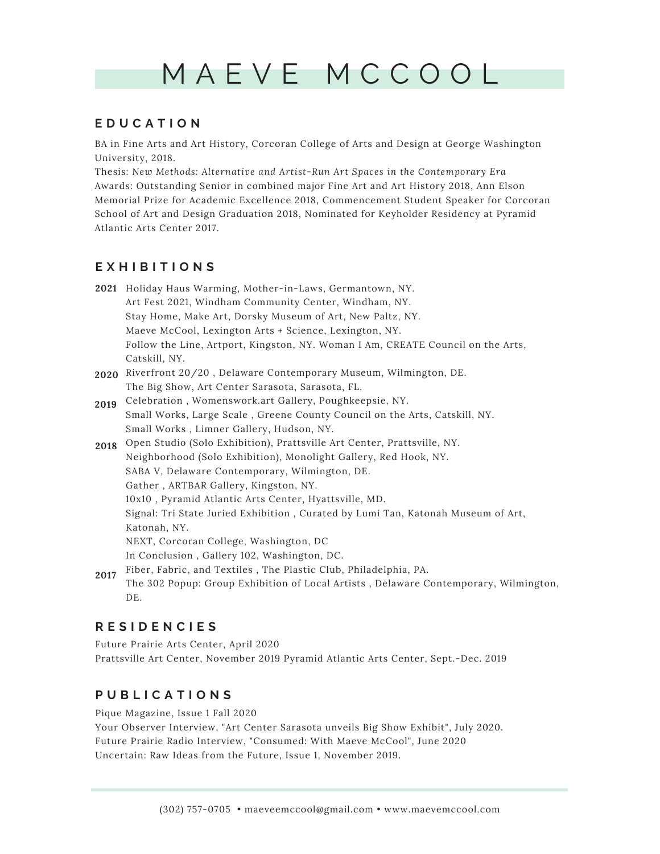# M A E V E M C C O O L

### **E D U C A T I O N**

BA in Fine Arts and Art History, Corcoran College of Arts and Design at George Washington University, 2018.

Thesis: *New Methods: Alternative and Artist-Run Art Spaces in the Contemporary Era* Awards: Outstanding Senior in combined major Fine Art and Art History 2018, Ann Elson Memorial Prize for Academic Excellence 2018, Commencement Student Speaker for Corcoran School of Art and Design Graduation 2018, Nominated for Keyholder Residency at Pyramid Atlantic Arts Center 2017.

# **E X H I B I T I O N S**

- 2**021** Holiday Haus Warming, Mother-in-Laws, Germantown, NY. Art Fest 2021, Windham Community Center, Windham, NY. Stay Home, Make Art, Dorsky Museum of Art, New Paltz, NY. Maeve McCool, Lexington Arts + Science, Lexington, NY. Follow the Line, Artport, Kingston, NY. Woman I Am, CREATE Council on the Arts, Catskill, NY.
- Riverfront 20/20 , Delaware Contemporary Museum, Wilmington, DE. **2020** The Big Show, Art Center Sarasota, Sarasota, FL.
- Celebration , Womenswork.art Gallery, Poughkeepsie, NY. **2019** Small Works, Large Scale , Greene County Council on the Arts, Catskill, NY. Small Works , Limner Gallery, Hudson, NY.
- Open Studio (Solo Exhibition), Prattsville Art Center, Prattsville, NY. **2018** Neighborhood (Solo Exhibition), Monolight Gallery, Red Hook, NY. SABA V, Delaware Contemporary, Wilmington, DE. Gather , ARTBAR Gallery, Kingston, NY. 10x10 , Pyramid Atlantic Arts Center, Hyattsville, MD. Signal: Tri State Juried Exhibition , Curated by Lumi Tan, Katonah Museum of Art, Katonah, NY. NEXT, Corcoran College, Washington, DC In Conclusion , Gallery 102, Washington, DC.
- Fiber, Fabric, and Textiles , The Plastic Club, Philadelphia, PA. **2017** The 302 Popup: Group Exhibition of Local Artists , Delaware Contemporary, Wilmington, DE.

# **R E S I D E N C I E S**

Future Prairie Arts Center, April 2020 Prattsville Art Center, November 2019 Pyramid Atlantic Arts Center, Sept.-Dec. 2019

# **P U B L I C A T I O N S**

Pique Magazine, Issue 1 Fall 2020

Your Observer Interview, "Art Center Sarasota unveils Big Show Exhibit", July 2020. Future Prairie Radio Interview, "Consumed: With Maeve McCool", June 2020 Uncertain: Raw Ideas from the Future, Issue 1, November 2019.